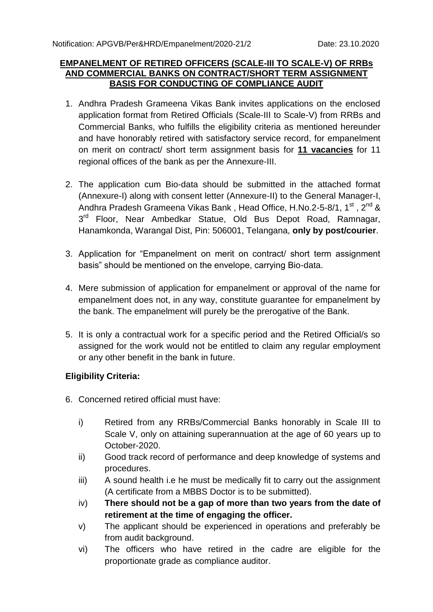#### **EMPANELMENT OF RETIRED OFFICERS (SCALE-III TO SCALE-V) OF RRBs AND COMMERCIAL BANKS ON CONTRACT/SHORT TERM ASSIGNMENT BASIS FOR CONDUCTING OF COMPLIANCE AUDIT**

- 1. Andhra Pradesh Grameena Vikas Bank invites applications on the enclosed application format from Retired Officials (Scale-III to Scale-V) from RRBs and Commercial Banks, who fulfills the eligibility criteria as mentioned hereunder and have honorably retired with satisfactory service record, for empanelment on merit on contract/ short term assignment basis for **11 vacancies** for 11 regional offices of the bank as per the Annexure-III.
- 2. The application cum Bio-data should be submitted in the attached format (Annexure-I) along with consent letter (Annexure-II) to the General Manager-I, Andhra Pradesh Grameena Vikas Bank, Head Office, H.No.2-5-8/1, 1<sup>st</sup>, 2<sup>nd</sup> & 3<sup>rd</sup> Floor, Near Ambedkar Statue, Old Bus Depot Road, Ramnagar, Hanamkonda, Warangal Dist, Pin: 506001, Telangana, **only by post/courier**.
- 3. Application for "Empanelment on merit on contract/ short term assignment basis" should be mentioned on the envelope, carrying Bio-data.
- 4. Mere submission of application for empanelment or approval of the name for empanelment does not, in any way, constitute guarantee for empanelment by the bank. The empanelment will purely be the prerogative of the Bank.
- 5. It is only a contractual work for a specific period and the Retired Official/s so assigned for the work would not be entitled to claim any regular employment or any other benefit in the bank in future.

#### **Eligibility Criteria:**

- 6. Concerned retired official must have:
	- i) Retired from any RRBs/Commercial Banks honorably in Scale III to Scale V, only on attaining superannuation at the age of 60 years up to October-2020.
	- ii) Good track record of performance and deep knowledge of systems and procedures.
	- iii) A sound health i.e he must be medically fit to carry out the assignment (A certificate from a MBBS Doctor is to be submitted).
	- iv) **There should not be a gap of more than two years from the date of retirement at the time of engaging the officer.**
	- v) The applicant should be experienced in operations and preferably be from audit background.
	- vi) The officers who have retired in the cadre are eligible for the proportionate grade as compliance auditor.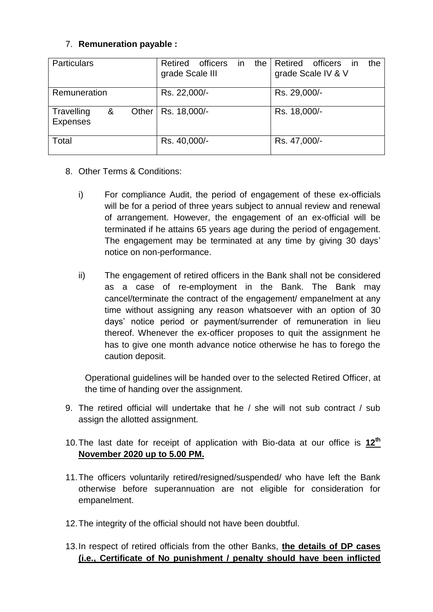### 7. **Remuneration payable :**

| <b>Particulars</b>                          | Retired<br>officers<br>the<br>in.<br>grade Scale III | Retired<br>the<br>officers in<br>grade Scale IV & V |
|---------------------------------------------|------------------------------------------------------|-----------------------------------------------------|
| Remuneration                                | Rs. 22,000/-                                         | Rs. 29,000/-                                        |
| Travelling<br>&<br>Other<br><b>Expenses</b> | Rs. 18,000/-                                         | Rs. 18,000/-                                        |
| Total                                       | Rs. 40,000/-                                         | Rs. 47,000/-                                        |

## 8. Other Terms & Conditions:

- i) For compliance Audit, the period of engagement of these ex-officials will be for a period of three years subject to annual review and renewal of arrangement. However, the engagement of an ex-official will be terminated if he attains 65 years age during the period of engagement. The engagement may be terminated at any time by giving 30 days' notice on non-performance.
- ii) The engagement of retired officers in the Bank shall not be considered as a case of re-employment in the Bank. The Bank may cancel/terminate the contract of the engagement/ empanelment at any time without assigning any reason whatsoever with an option of 30 days' notice period or payment/surrender of remuneration in lieu thereof. Whenever the ex-officer proposes to quit the assignment he has to give one month advance notice otherwise he has to forego the caution deposit.

Operational guidelines will be handed over to the selected Retired Officer, at the time of handing over the assignment.

- 9. The retired official will undertake that he / she will not sub contract / sub assign the allotted assignment.
- 10.The last date for receipt of application with Bio-data at our office is **12 th November 2020 up to 5.00 PM.**
- 11.The officers voluntarily retired/resigned/suspended/ who have left the Bank otherwise before superannuation are not eligible for consideration for empanelment.
- 12.The integrity of the official should not have been doubtful.
- 13.In respect of retired officials from the other Banks, **the details of DP cases (i.e., Certificate of No punishment / penalty should have been inflicted**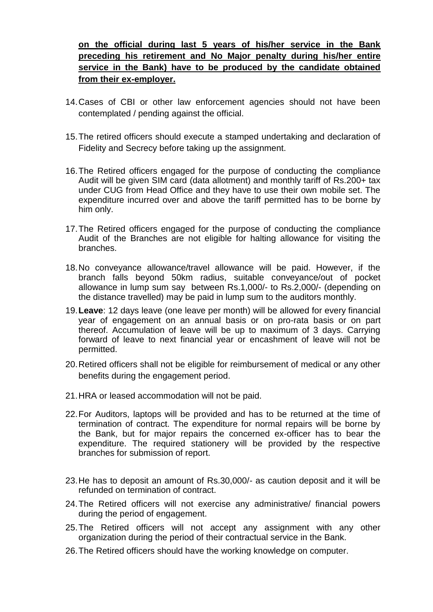## **on the official during last 5 years of his/her service in the Bank preceding his retirement and No Major penalty during his/her entire service in the Bank) have to be produced by the candidate obtained from their ex-employer.**

- 14.Cases of CBI or other law enforcement agencies should not have been contemplated / pending against the official.
- 15.The retired officers should execute a stamped undertaking and declaration of Fidelity and Secrecy before taking up the assignment.
- 16.The Retired officers engaged for the purpose of conducting the compliance Audit will be given SIM card (data allotment) and monthly tariff of Rs.200+ tax under CUG from Head Office and they have to use their own mobile set. The expenditure incurred over and above the tariff permitted has to be borne by him only.
- 17.The Retired officers engaged for the purpose of conducting the compliance Audit of the Branches are not eligible for halting allowance for visiting the branches.
- 18.No conveyance allowance/travel allowance will be paid. However, if the branch falls beyond 50km radius, suitable conveyance/out of pocket allowance in lump sum say between Rs.1,000/- to Rs.2,000/- (depending on the distance travelled) may be paid in lump sum to the auditors monthly.
- 19.**Leave**: 12 days leave (one leave per month) will be allowed for every financial year of engagement on an annual basis or on pro-rata basis or on part thereof. Accumulation of leave will be up to maximum of 3 days. Carrying forward of leave to next financial year or encashment of leave will not be permitted.
- 20.Retired officers shall not be eligible for reimbursement of medical or any other benefits during the engagement period.
- 21.HRA or leased accommodation will not be paid.
- 22.For Auditors, laptops will be provided and has to be returned at the time of termination of contract. The expenditure for normal repairs will be borne by the Bank, but for major repairs the concerned ex-officer has to bear the expenditure. The required stationery will be provided by the respective branches for submission of report.
- 23.He has to deposit an amount of Rs.30,000/- as caution deposit and it will be refunded on termination of contract.
- 24.The Retired officers will not exercise any administrative/ financial powers during the period of engagement.
- 25.The Retired officers will not accept any assignment with any other organization during the period of their contractual service in the Bank.
- 26.The Retired officers should have the working knowledge on computer.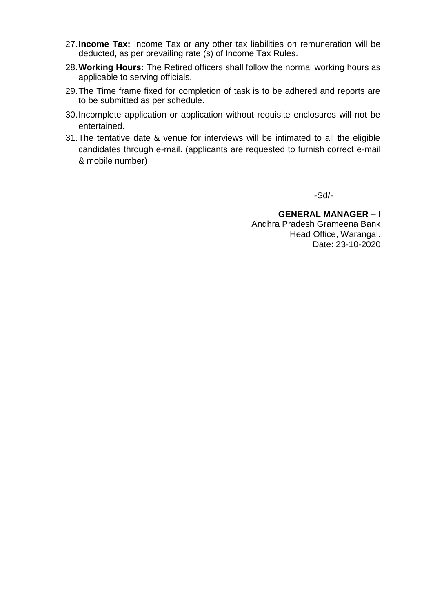- 27.**Income Tax:** Income Tax or any other tax liabilities on remuneration will be deducted, as per prevailing rate (s) of Income Tax Rules.
- 28.**Working Hours:** The Retired officers shall follow the normal working hours as applicable to serving officials.
- 29.The Time frame fixed for completion of task is to be adhered and reports are to be submitted as per schedule.
- 30.Incomplete application or application without requisite enclosures will not be entertained.
- 31.The tentative date & venue for interviews will be intimated to all the eligible candidates through e-mail. (applicants are requested to furnish correct e-mail & mobile number)

-Sd/-

**GENERAL MANAGER – I** Andhra Pradesh Grameena Bank Head Office, Warangal. Date: 23-10-2020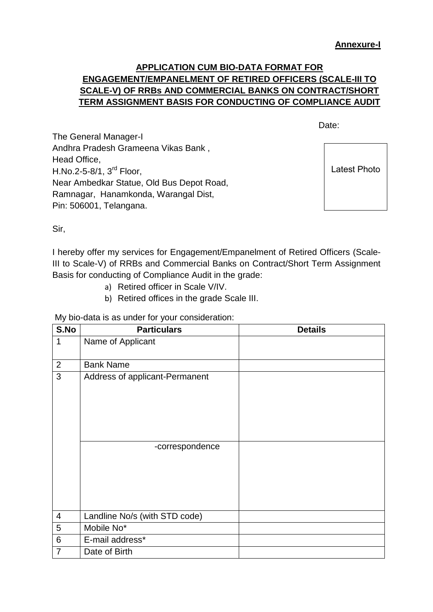## **APPLICATION CUM BIO-DATA FORMAT FOR ENGAGEMENT/EMPANELMENT OF RETIRED OFFICERS (SCALE-III TO SCALE-V) OF RRBs AND COMMERCIAL BANKS ON CONTRACT/SHORT TERM ASSIGNMENT BASIS FOR CONDUCTING OF COMPLIANCE AUDIT**

discussion of the contract of the contract of the Date:

The General Manager-I Andhra Pradesh Grameena Vikas Bank , Head Office, H.No.2-5-8/1, 3rd Floor, Near Ambedkar Statue, Old Bus Depot Road, Ramnagar, Hanamkonda, Warangal Dist, Pin: 506001, Telangana.

Latest Photo

Sir,

I hereby offer my services for Engagement/Empanelment of Retired Officers (Scale-III to Scale-V) of RRBs and Commercial Banks on Contract/Short Term Assignment Basis for conducting of Compliance Audit in the grade:

- a) Retired officer in Scale V/IV.
- b) Retired offices in the grade Scale III.

My bio-data is as under for your consideration:

| S.No                    | <b>Particulars</b>             | <b>Details</b> |
|-------------------------|--------------------------------|----------------|
| $\mathbf{1}$            | Name of Applicant              |                |
|                         |                                |                |
| $\mathbf{2}$            | <b>Bank Name</b>               |                |
| $\overline{3}$          | Address of applicant-Permanent |                |
|                         |                                |                |
|                         |                                |                |
|                         |                                |                |
|                         |                                |                |
|                         |                                |                |
|                         | -correspondence                |                |
|                         |                                |                |
|                         |                                |                |
|                         |                                |                |
|                         |                                |                |
| $\overline{\mathbf{4}}$ | Landline No/s (with STD code)  |                |
| 5                       | Mobile No*                     |                |
| 6                       | E-mail address*                |                |
| $\overline{7}$          | Date of Birth                  |                |
|                         |                                |                |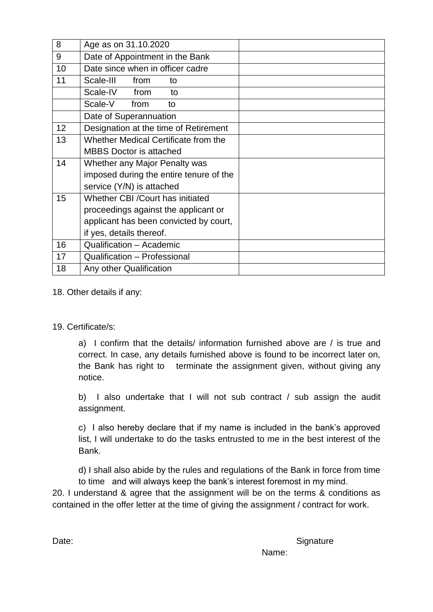| 8  | Age as on 31.10.2020                    |  |
|----|-----------------------------------------|--|
| 9  | Date of Appointment in the Bank         |  |
| 10 | Date since when in officer cadre        |  |
| 11 | Scale-III<br>from<br>to                 |  |
|    | Scale-IV<br>from<br>to                  |  |
|    | Scale-V<br>from<br>to                   |  |
|    | Date of Superannuation                  |  |
| 12 | Designation at the time of Retirement   |  |
| 13 | Whether Medical Certificate from the    |  |
|    | <b>MBBS Doctor is attached</b>          |  |
| 14 | Whether any Major Penalty was           |  |
|    | imposed during the entire tenure of the |  |
|    | service (Y/N) is attached               |  |
| 15 | Whether CBI / Court has initiated       |  |
|    | proceedings against the applicant or    |  |
|    | applicant has been convicted by court,  |  |
|    | if yes, details thereof.                |  |
| 16 | Qualification - Academic                |  |
| 17 | Qualification - Professional            |  |
| 18 | Any other Qualification                 |  |

18. Other details if any:

19. Certificate/s:

a) I confirm that the details/ information furnished above are / is true and correct. In case, any details furnished above is found to be incorrect later on, the Bank has right to terminate the assignment given, without giving any notice.

b) I also undertake that I will not sub contract / sub assign the audit assignment.

c) I also hereby declare that if my name is included in the bank's approved list, I will undertake to do the tasks entrusted to me in the best interest of the Bank.

d) I shall also abide by the rules and regulations of the Bank in force from time to time and will always keep the bank's interest foremost in my mind.

20. I understand & agree that the assignment will be on the terms & conditions as contained in the offer letter at the time of giving the assignment / contract for work.

Date: Signature Signature

Name: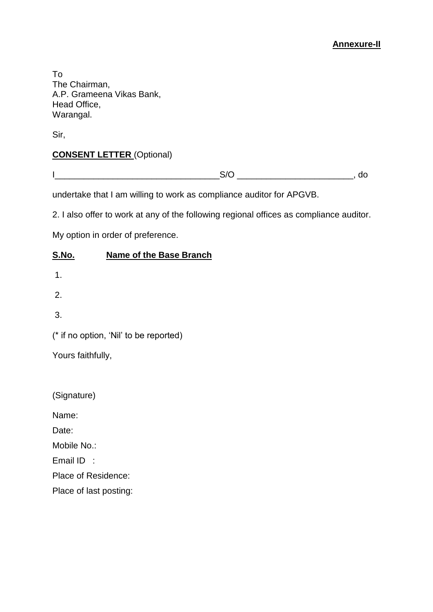#### **Annexure-II**

To The Chairman, A.P. Grameena Vikas Bank, Head Office, Warangal.

Sir,

## **CONSENT LETTER** (Optional)

undertake that I am willing to work as compliance auditor for APGVB.

2. I also offer to work at any of the following regional offices as compliance auditor.

My option in order of preference.

#### **S.No. Name of the Base Branch**

1.

2.

3.

(\* if no option, 'Nil' to be reported)

Yours faithfully,

(Signature)

Name:

Date:

Mobile No.:

Email ID :

Place of Residence:

Place of last posting: